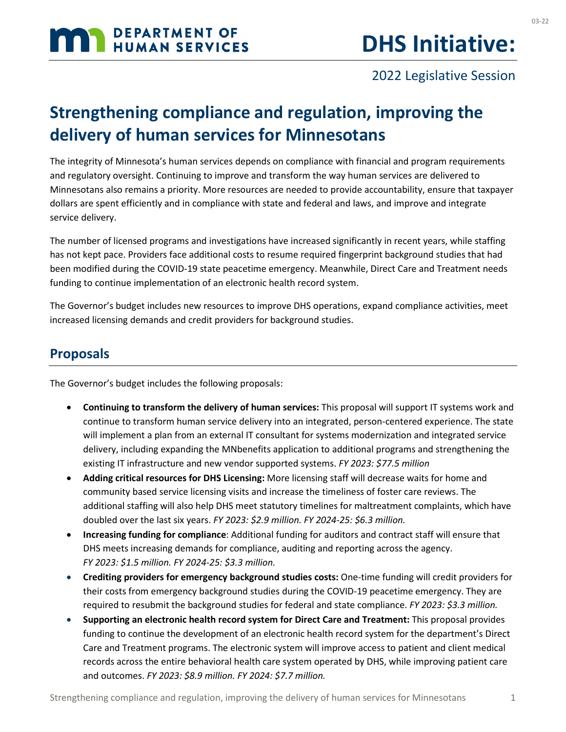# **MAN DEPARTMENT OF HUMAN SERVICES**

### 2022 Legislative Session

# **Strengthening compliance and regulation, improving the delivery of human services for Minnesotans**

The integrity of Minnesota's human services depends on compliance with financial and program requirements and regulatory oversight. Continuing to improve and transform the way human services are delivered to Minnesotans also remains a priority. More resources are needed to provide accountability, ensure that taxpayer dollars are spent efficiently and in compliance with state and federal and laws, and improve and integrate service delivery.

The number of licensed programs and investigations have increased significantly in recent years, while staffing has not kept pace. Providers face additional costs to resume required fingerprint background studies that had been modified during the COVID-19 state peacetime emergency. Meanwhile, Direct Care and Treatment needs funding to continue implementation of an electronic health record system.

The Governor's budget includes new resources to improve DHS operations, expand compliance activities, meet increased licensing demands and credit providers for background studies.

#### **Proposals**

The Governor's budget includes the following proposals:

- **Continuing to transform the delivery of human services:** This proposal will support IT systems work and continue to transform human service delivery into an integrated, person-centered experience. The state will implement a plan from an external IT consultant for systems modernization and integrated service delivery, including expanding the MNbenefits application to additional programs and strengthening the existing IT infrastructure and new vendor supported systems. *FY 2023: \$77.5 million*
- **Adding critical resources for DHS Licensing:** More licensing staff will decrease waits for home and community based service licensing visits and increase the timeliness of foster care reviews. The additional staffing will also help DHS meet statutory timelines for maltreatment complaints, which have doubled over the last six years. *FY 2023: \$2.9 million. FY 2024-25: \$6.3 million.*
- **Increasing funding for compliance**: Additional funding for auditors and contract staff will ensure that DHS meets increasing demands for compliance, auditing and reporting across the agency. *FY 2023: \$1.5 million. FY 2024-25: \$3.3 million.*
- **Crediting providers for emergency background studies costs:** One-time funding will credit providers for their costs from emergency background studies during the COVID-19 peacetime emergency. They are required to resubmit the background studies for federal and state compliance. *FY 2023: \$3.3 million.*
- **Supporting an electronic health record system for Direct Care and Treatment:** This proposal provides funding to continue the development of an electronic health record system for the department's Direct Care and Treatment programs. The electronic system will improve access to patient and client medical records across the entire behavioral health care system operated by DHS, while improving patient care and outcomes. *FY 2023: \$8.9 million. FY 2024: \$7.7 million.*